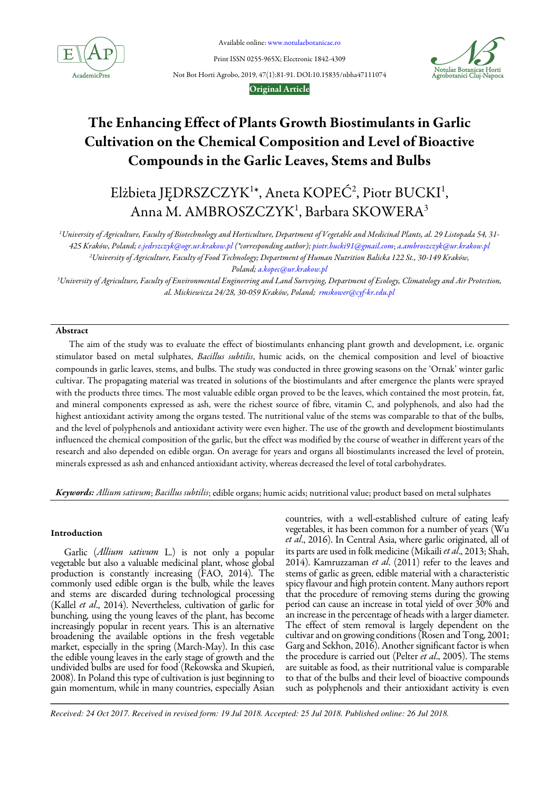

Available online: www.notulaebotanicae.ro

Print ISSN 0255-965X; Electronic 1842-4309

Not Bot Horti Agrobo, 2019, 47(1):81-91. DOI:10.15835/nbha47111074



## Original Article

# The Enhancing Effect of Plants Growth Biostimulants in Garlic Cultivation on the Chemical Composition and Level of Bioactive Compounds in the Garlic Leaves, Stems and Bulbs

Elżbieta JĘDRSZCZYK<sup>1</sup>\*, Aneta KOPEĆ<sup>2</sup>, Piotr BUCKI<sup>1</sup>, Anna M. AMBROSZCZYK<sup>1</sup>, Barbara SKOWERA<sup>3</sup>

<sup>1</sup>University of Agriculture, Faculty of Biotechnology and Horticulture, Department of Vegetable and Medicinal Plants, al. 29 Listopada 54, 31- 425 Kraków, Poland; e.jedrszczyk@ogr.ur.krakow.pl (\*corresponding author); piotr.bucki91@gmail.com; a.ambroszczyk@ur.krakow.pl <sup>2</sup>University of Agriculture, Faculty of Food Technology; Department of Human Nutrition Balicka 122 St., 30-149 Kraków,

Poland; a.kopec@ur.krakow.pl

<sup>3</sup>University of Agriculture, Faculty of Environmental Engineering and Land Surveying, Department of Ecology, Climatology and Air Protection, al. Mickiewicza 24/28, 30-059 Kraków, Poland; rmskower@cyf-kr.edu.pl

## Abstract

The aim of the study was to evaluate the effect of biostimulants enhancing plant growth and development, i.e. organic stimulator based on metal sulphates, Bacillus subtilis, humic acids, on the chemical composition and level of bioactive compounds in garlic leaves, stems, and bulbs. The study was conducted in three growing seasons on the 'Ornak' winter garlic cultivar. The propagating material was treated in solutions of the biostimulants and after emergence the plants were sprayed with the products three times. The most valuable edible organ proved to be the leaves, which contained the most protein, fat, and mineral components expressed as ash, were the richest source of fibre, vitamin C, and polyphenols, and also had the highest antioxidant activity among the organs tested. The nutritional value of the stems was comparable to that of the bulbs, and the level of polyphenols and antioxidant activity were even higher. The use of the growth and development biostimulants influenced the chemical composition of the garlic, but the effect was modified by the course of weather in different years of the research and also depended on edible organ. On average for years and organs all biostimulants increased the level of protein, minerals expressed as ash and enhanced antioxidant activity, whereas decreased the level of total carbohydrates.

Keywords: Allium sativum; Bacillus subtilis; edible organs; humic acids; nutritional value; product based on metal sulphates

## Introduction

Garlic (Allium sativum L.) is not only a popular vegetable but also a valuable medicinal plant, whose global production is constantly increasing (FAO, 2014). The commonly used edible organ is the bulb, while the leaves and stems are discarded during technological processing (Kallel et al., 2014). Nevertheless, cultivation of garlic for bunching, using the young leaves of the plant, has become increasingly popular in recent years. This is an alternative broadening the available options in the fresh vegetable market, especially in the spring (March-May). In this case the edible young leaves in the early stage of growth and the undivided bulbs are used for food (Rekowska and Skupień, 2008). In Poland this type of cultivation is just beginning to gain momentum, while in many countries, especially Asian

countries, with a well-established culture of eating leafy vegetables, it has been common for a number of years (Wu et al., 2016). In Central Asia, where garlic originated, all of its parts are used in folk medicine (Mikaili et al., 2013; Shah, 2014). Kamruzzaman et al. (2011) refer to the leaves and stems of garlic as green, edible material with a characteristic spicy flavour and high protein content. Many authors report that the procedure of removing stems during the growing period can cause an increase in total yield of over 30% and an increase in the percentage of heads with a larger diameter. The effect of stem removal is largely dependent on the cultivar and on growing conditions (Rosen and Tong, 2001; Garg and Sekhon, 2016). Another significant factor is when the procedure is carried out (Pelter et al., 2005). The stems are suitable as food, as their nutritional value is comparable to that of the bulbs and their level of bioactive compounds such as polyphenols and their antioxidant activity is even

*Received: 24 Oct 2017. Received in revised form: 19 Jul 2018. Accepted: 25 Jul 2018. Published online: 26 Jul 2018.*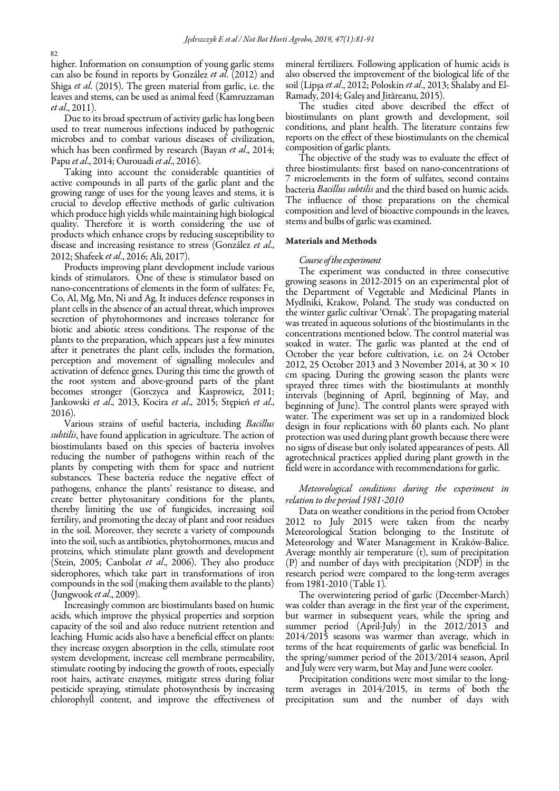higher. Information on consumption of young garlic stems can also be found in reports by González et al. (2012) and Shiga *et al.* (2015). The green material from garlic, i.e. the leaves and stems, can be used as animal feed (Kamruzzaman et al., 2011).

Due to its broad spectrum of activity garlic has long been used to treat numerous infections induced by pathogenic microbes and to combat various diseases of civilization, which has been confirmed by research (Bayan et al., 2014; Papu et al., 2014; Ourouadi et al., 2016).

Taking into account the considerable quantities of active compounds in all parts of the garlic plant and the growing range of uses for the young leaves and stems, it is crucial to develop effective methods of garlic cultivation which produce high yields while maintaining high biological quality. Therefore it is worth considering the use of products which enhance crops by reducing susceptibility to disease and increasing resistance to stress (González et al., 2012; Shafeek et al., 2016; Ali, 2017).

Products improving plant development include various kinds of stimulators. One of these is stimulator based on nano-concentrations of elements in the form of sulfates: Fe, Co, Al, Mg, Mn, Ni and Ag. It induces defence responses in plant cells in the absence of an actual threat, which improves secretion of phytohormones and increases tolerance for biotic and abiotic stress conditions. The response of the plants to the preparation, which appears just a few minutes after it penetrates the plant cells, includes the formation, perception and movement of signalling molecules and activation of defence genes. During this time the growth of the root system and above-ground parts of the plant becomes stronger (Gorczyca and Kasprowicz, 2011; Jankowski et al., 2013, Kocira et al., 2015; Stępień et al., 2016).

Various strains of useful bacteria, including Bacillus subtilis, have found application in agriculture. The action of biostimulants based on this species of bacteria involves reducing the number of pathogens within reach of the plants by competing with them for space and nutrient substances. These bacteria reduce the negative effect of pathogens, enhance the plants' resistance to disease, and create better phytosanitary conditions for the plants, thereby limiting the use of fungicides, increasing soil fertility, and promoting the decay of plant and root residues in the soil. Moreover, they secrete a variety of compounds into the soil, such as antibiotics, phytohormones, mucus and proteins, which stimulate plant growth and development (Stein, 2005; Canbolat et al., 2006). They also produce siderophores, which take part in transformations of iron compounds in the soil (making them available to the plants) (Jungwook et al., 2009).

Increasingly common are biostimulants based on humic acids, which improve the physical properties and sorption capacity of the soil and also reduce nutrient retention and leaching. Humic acids also have a beneficial effect on plants: they increase oxygen absorption in the cells, stimulate root system development, increase cell membrane permeability, stimulate rooting by inducing the growth of roots, especially root hairs, activate enzymes, mitigate stress during foliar pesticide spraying, stimulate photosynthesis by increasing chlorophyll content, and improve the effectiveness of mineral fertilizers. Following application of humic acids is also observed the improvement of the biological life of the soil (Lipşa et al., 2012; Poloskin et al., 2013; Shalaby and El-Ramady, 2014; Galeş and Jităreanu, 2015).

The studies cited above described the effect of biostimulants on plant growth and development, soil conditions, and plant health. The literature contains few reports on the effect of these biostimulants on the chemical composition of garlic plants.

The objective of the study was to evaluate the effect of three biostimulants: first based on nano-concentrations of 7 microelements in the form of sulfates, second contains bacteria Bacillus subtilis and the third based on humic acids. The influence of those preparations on the chemical composition and level of bioactive compounds in the leaves, stems and bulbs of garlic was examined.

## Materials and Methods

### Course of the experiment

The experiment was conducted in three consecutive growing seasons in 2012-2015 on an experimental plot of the Department of Vegetable and Medicinal Plants in Mydlniki, Krakow, Poland. The study was conducted on the winter garlic cultivar 'Ornak'. The propagating material was treated in aqueous solutions of the biostimulants in the concentrations mentioned below. The control material was soaked in water. The garlic was planted at the end of October the year before cultivation, i.e. on 24 October 2012, 25 October 2013 and 3 November 2014, at 30 × 10 cm spacing. During the growing season the plants were sprayed three times with the biostimulants at monthly intervals (beginning of April, beginning of May, and beginning of June). The control plants were sprayed with water. The experiment was set up in a randomized block design in four replications with 60 plants each. No plant protection was used during plant growth because there were no signs of disease but only isolated appearances of pests. All agrotechnical practices applied during plant growth in the field were in accordance with recommendations for garlic.

## Meteorological conditions during the experiment in relation to the period 1981-2010

Data on weather conditions in the period from October 2012 to July 2015 were taken from the nearby Meteorological Station belonging to the Institute of Meteorology and Water Management in Kraków-Balice. Average monthly air temperature (t), sum of precipitation  $(P)$  and number of days with precipitation  $(\overline{NDP})$  in the research period were compared to the long-term averages from 1981-2010 (Table 1).

The overwintering period of garlic (December-March) was colder than average in the first year of the experiment, but warmer in subsequent years, while the spring and summer period (April-July) in the 2012/2013 and 2014/2015 seasons was warmer than average, which in terms of the heat requirements of garlic was beneficial. In the spring/summer period of the 2013/2014 season, April and July were very warm, but May and June were cooler.

Precipitation conditions were most similar to the longterm averages in 2014/2015, in terms of both the precipitation sum and the number of days with

82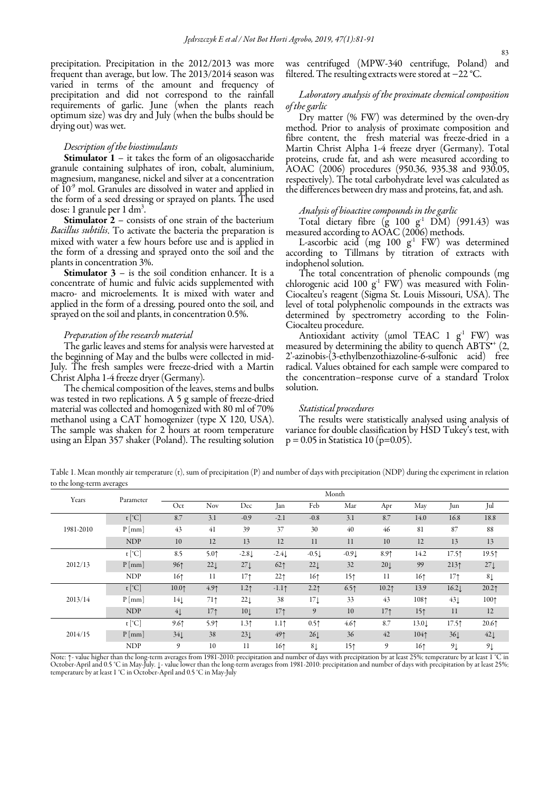precipitation. Precipitation in the 2012/2013 was more frequent than average, but low. The 2013/2014 season was varied in terms of the amount and frequency of precipitation and did not correspond to the rainfall requirements of garlic. June (when the plants reach optimum size) was dry and July (when the bulbs should be drying out) was wet.

#### Description of the biostimulants

**Stimulator 1** – it takes the form of an oligosaccharide granule containing sulphates of iron, cobalt, aluminium, magnesium, manganese, nickel and silver at a concentration of  $10<sup>9</sup>$  mol. Granules are dissolved in water and applied in the form of a seed dressing or sprayed on plants. The used dose: 1 granule per 1 dm<sup>3</sup>.

Stimulator 2 – consists of one strain of the bacterium Bacillus subtilis. To activate the bacteria the preparation is mixed with water a few hours before use and is applied in the form of a dressing and sprayed onto the soil and the plants in concentration 3%.

**Stimulator 3** – is the soil condition enhancer. It is a concentrate of humic and fulvic acids supplemented with macro- and microelements. It is mixed with water and applied in the form of a dressing, poured onto the soil, and sprayed on the soil and plants, in concentration 0.5%.

#### Preparation of the research material

The garlic leaves and stems for analysis were harvested at the beginning of May and the bulbs were collected in mid-July. The fresh samples were freeze-dried with a Martin Christ Alpha 1-4 freeze dryer (Germany).

The chemical composition of the leaves, stems and bulbs was tested in two replications. A 5 g sample of freeze-dried material was collected and homogenized with 80 ml of 70% methanol using a CAT homogenizer (type X 120, USA). The sample was shaken for 2 hours at room temperature using an Elpan 357 shaker (Poland). The resulting solution

was centrifuged (MPW-340 centrifuge, Poland) and filtered. The resulting extracts were stored at −22 °C.

## Laboratory analysis of the proximate chemical composition of the garlic

Dry matter (% FW) was determined by the oven-dry method. Prior to analysis of proximate composition and fibre content, the fresh material was freeze-dried in a Martin Christ Alpha 1-4 freeze dryer (Germany). Total proteins, crude fat, and ash were measured according to AOAC (2006) procedures (950.36, 935.38 and 930.05, respectively). The total carbohydrate level was calculated as the differences between dry mass and proteins, fat, and ash.

## Analysis of bioactive compounds in the garlic

Total dietary fibre (g 100 g<sup>-1</sup> DM) (991.43) was measured according to AOAC (2006) methods.

L-ascorbic acid (mg  $100 \text{ g}^1$  FW) was determined according to Tillmans by titration of extracts with indophenol solution.

The total concentration of phenolic compounds (mg chlorogenic acid 100  $g<sup>-1</sup>$  FW) was measured with Folin-Ciocalteu's reagent (Sigma St. Louis Missouri, USA). The level of total polyphenolic compounds in the extracts was determined by spectrometry according to the Folin-Ciocalteu procedure.

Antioxidant activity ( $\mu$ mol TEAC 1  $g^1$  FW) was measured by determining the ability to quench ABTS<sup>\*+</sup> (2, 2'-azinobis-(3-ethylbenzothiazoline-6-sulfonic acid) free radical. Values obtained for each sample were compared to the concentration–response curve of a standard Trolox solution.

## Statistical procedures

The results were statistically analysed using analysis of variance for double classification by HSD Tukey's test, with  $p = 0.05$  in Statistica 10 ( $p=0.05$ ).

Table 1. Mean monthly air temperature (t), sum of precipitation (P) and number of days with precipitation (NDP) during the experiment in relation to the long-term averages

| Years     | Parameter      | Month                                  |                  |                  |                  |                  |                  |                  |                   |                   |                  |
|-----------|----------------|----------------------------------------|------------------|------------------|------------------|------------------|------------------|------------------|-------------------|-------------------|------------------|
|           |                | Oct                                    | Nov              | Dec              | Jan              | Feb              | Mar              | Apr              | May               | Jun               | Jul              |
|           | $t[^{\circ}C]$ | 8.7                                    | 3.1              | $-0.9$           | $-2.1$           | $-0.8$           | 3.1              | 8.7              | 14.0              | 16.8              | 18.8             |
| 1981-2010 | P[mm]          | 43                                     | 41               | 39               | 37               | 30               | 40               | 46               | 81                | 87                | 88               |
|           | <b>NDP</b>     | 10                                     | 12               | 13               | 12               | 11               | 11               | 10               | 12                | 13                | 13               |
| 2012/13   | $t[^{\circ}C]$ | 8.5                                    | 5.0 <sub>1</sub> | $-2.8$           | $-2.4$           | $-0.5$           | $-0.91$          | 8.9 <sub>1</sub> | 14.2              | 17.5 <sub>1</sub> | 19.51            |
|           | P[mm]          | 96 <sub>1</sub>                        | $22 \downarrow$  | $27\downarrow$   | 62 <sub>1</sub>  | 22 <sub>1</sub>  | 32               | 20 <sub>l</sub>  | 99                | 2131              | $27\downarrow$   |
|           | <b>NDP</b>     | 16 <sub>1</sub>                        | 11               | 17 <sub>1</sub>  | 22 <sub>1</sub>  | 16 <sub>1</sub>  | 15 <sub>1</sub>  | 11               | 16 <sub>1</sub>   | 17 <sub>1</sub>   | $8+$             |
| 2013/14   | $t[^{\circ}C]$ | $10.0$ <sup><math>\dagger</math></sup> | 4.91             | 1.2 <sub>1</sub> | $-1.1$           | 2.21             | 6.51             | $10.2$ 1         | 13.9              | 16.2              | $20.2$ 1         |
|           | P[mm]          | 14 <sub>l</sub>                        | 71               | $22 \downarrow$  | 38               | 17 <sub>l</sub>  | 33               | 43               | 1081              | $43\downarrow$    | 100 <sub>1</sub> |
|           | <b>NDP</b>     | 41                                     | 17 <sup>†</sup>  | 10 <sub>l</sub>  | 17 <sup>†</sup>  | 9                | 10               | 17 <sub>1</sub>  | 15 <sup>†</sup>   | 11                | 12               |
| 2014/15   | $t[^{\circ}C]$ | 9.61                                   | 5.91             | 1.3 <sub>1</sub> | 1.1 <sub>1</sub> | 0.5 <sub>1</sub> | 4.6 <sub>1</sub> | 8.7              | 13.0 <sub>1</sub> | 17.5 <sup>†</sup> | 20.61            |
|           | P[mm]          | 34 <sub>l</sub>                        | 38               | 23 <sub>1</sub>  | 49 <sub>1</sub>  | 26 <sub>l</sub>  | 36               | 42               | 1041              | 36 <sub>l</sub>   | $42\downarrow$   |
|           | <b>NDP</b>     | 9                                      | 10               | 11               | 16 <sub>1</sub>  | 8 <sub>1</sub>   | 15 <sup>†</sup>  | 9                | 16 <sup>†</sup>   | 9 <sub>1</sub>    | 9 <sub>1</sub>   |

Note:  $\uparrow$ - value higher than the long-term averages from 1981-2010: precipitation and number of days with precipitation by at least 25%; temperature by at least 1 °C in October-April and 0.5 °C in May-July. ↓- value lower than the long-term averages from 1981-2010: precipitation and number of days with precipitation by at least 25%; temperature by at least 1 °C in October-April and 0.5 °C in May-July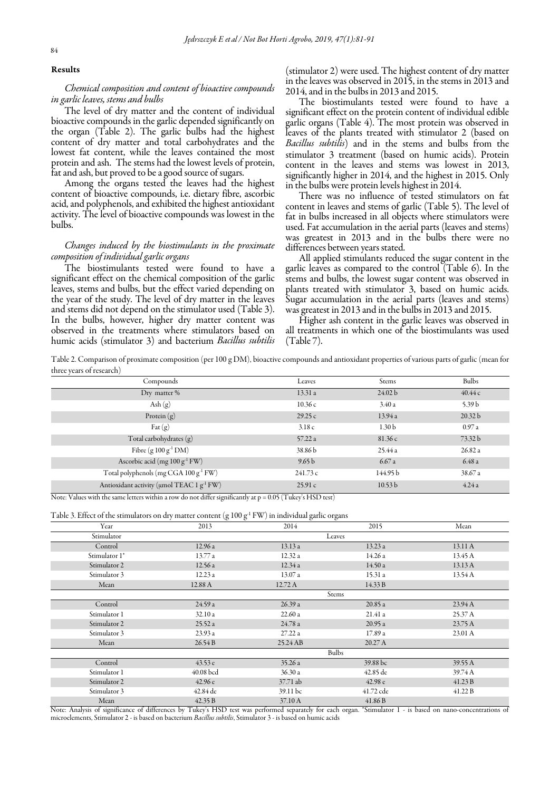#### Results

## Chemical composition and content of bioactive compounds in garlic leaves, stems and bulbs

The level of dry matter and the content of individual bioactive compounds in the garlic depended significantly on the organ (Table 2). The garlic bulbs had the highest content of dry matter and total carbohydrates and the lowest fat content, while the leaves contained the most protein and ash. The stems had the lowest levels of protein, fat and ash, but proved to be a good source of sugars.

Among the organs tested the leaves had the highest content of bioactive compounds, i.e. dietary fibre, ascorbic acid, and polyphenols, and exhibited the highest antioxidant activity. The level of bioactive compounds was lowest in the bulbs.

## Changes induced by the biostimulants in the proximate composition of individual garlic organs

The biostimulants tested were found to have a significant effect on the chemical composition of the garlic leaves, stems and bulbs, but the effect varied depending on the year of the study. The level of dry matter in the leaves and stems did not depend on the stimulator used (Table 3). In the bulbs, however, higher dry matter content was observed in the treatments where stimulators based on humic acids (stimulator 3) and bacterium Bacillus subtilis (stimulator 2) were used. The highest content of dry matter in the leaves was observed in 2015, in the stems in 2013 and 2014, and in the bulbs in 2013 and 2015.

The biostimulants tested were found to have a significant effect on the protein content of individual edible garlic organs (Table 4). The most protein was observed in leaves of the plants treated with stimulator 2 (based on Bacillus subtilis) and in the stems and bulbs from the stimulator 3 treatment (based on humic acids). Protein content in the leaves and stems was lowest in 2013, significantly higher in 2014, and the highest in 2015. Only in the bulbs were protein levels highest in 2014.

There was no influence of tested stimulators on fat content in leaves and stems of garlic (Table 5). The level of fat in bulbs increased in all objects where stimulators were used. Fat accumulation in the aerial parts (leaves and stems) was greatest in 2013 and in the bulbs there were no differences between years stated.

All applied stimulants reduced the sugar content in the garlic leaves as compared to the control (Table 6). In the stems and bulbs, the lowest sugar content was observed in plants treated with stimulator 3, based on humic acids. Sugar accumulation in the aerial parts (leaves and stems) was greatest in 2013 and in the bulbs in 2013 and 2015.

Higher ash content in the garlic leaves was observed in all treatments in which one of the biostimulants was used (Table 7).

Table 2. Comparison of proximate composition (per 100 g DM), bioactive compounds and antioxidant properties of various parts of garlic (mean for three years of research)

| Compounds                                             | Leaves  | Stems              | <b>Bulbs</b>      |
|-------------------------------------------------------|---------|--------------------|-------------------|
| Dry matter %                                          | 13.31a  | 24.02 b            | 40.44c            |
| Ash $(g)$                                             | 10.36c  | 3.40a              | 5.39 <sub>b</sub> |
| Protein $(g)$                                         | 29.25c  | 13.94a             | 20.32 b           |
| $\text{Fat}\left(\text{g}\right)$                     | 3.18c   | 1.30 <sub>b</sub>  | 0.97a             |
| Total carbohydrates (g)                               | 57.22a  | 81.36 c            | 73.32 b           |
| Fibre (g $100 g^{-1}$ DM)                             | 38.86 b | 25.44 a            | 26.82 a           |
| Ascorbic acid (mg $100 \text{ g}^{-1} \text{FW}$ )    | 9.65 b  | 6.67a              | 6.48a             |
| Total polyphenols (mg CGA 100 g <sup>-1</sup> FW)     | 241.73c | 144.95 b           | 38.67 a           |
| Antioxidant activity (µmol TEAC 1 g <sup>-1</sup> FW) | 25.91c  | 10.53 <sub>b</sub> | 4.24a             |

Note: Values with the same letters within a row do not differ significantly at p = 0.05 (Tukey's HSD test)

Table 3. Effect of the stimulators on dry matter content (g  $100 \sigma^1$  FW) in individual garlic organs

| Year          | 2013      | 2014     | 2015               | Mean    |
|---------------|-----------|----------|--------------------|---------|
| Stimulator    |           |          | Leaves             |         |
| Control       | 12.96a    | 13.13a   | 13.23a             | 13.11 A |
| Stimulator 1* | 13.77 a   | 12.32a   | 14.26 a            | 13.45 A |
| Stimulator 2  | 12.56a    | 12.34a   | 14.50a             | 13.13A  |
| Stimulator 3  | 12.23a    | 13.07 a  | 15.31 a            | 13.54 A |
| Mean          | 12.88 A   | 12.72 A  | 14.33 B            |         |
|               |           |          | Stems              |         |
| Control       | 24.59a    | 26.39a   | 20.85a             | 23.94 A |
| Stimulator 1  | 32.10 a   | 22.60 a  | 21.41a             | 25.37 A |
| Stimulator 2  | 25.52a    | 24.78 a  | 20.95a             | 23.75 A |
| Stimulator 3  | 23.93 a   | 27.22a   | 17.89 a            | 23.01 A |
| Mean          | 26.54 B   | 25.24 AB | 20.27 A            |         |
|               |           |          | <b>Bulbs</b>       |         |
| Control       | 43.53e    | 35.26a   | 39.88 bc           | 39.55 A |
| Stimulator 1  | 40.08 bcd | 36.30a   | 42.85 de           | 39.74 A |
| Stimulator 2  | 42.96e    | 37.71 ab | 42.98e             | 41.23 B |
| Stimulator 3  | 42.84 de  | 39.11 bc | 41.72 cde          | 41.22 B |
| Mean          | 42.35 B   | 37.10 A  | 41.86 <sub>B</sub> |         |

Note: Analysis of significance of differences by Tukey's HSD test was performed separately for each organ. \*Stimulator 1 - is based on nano-concentrations of microelements, Stimulator 2 - is based on bacterium Bacillus subtilis, Stimulator 3 - is based on humic acids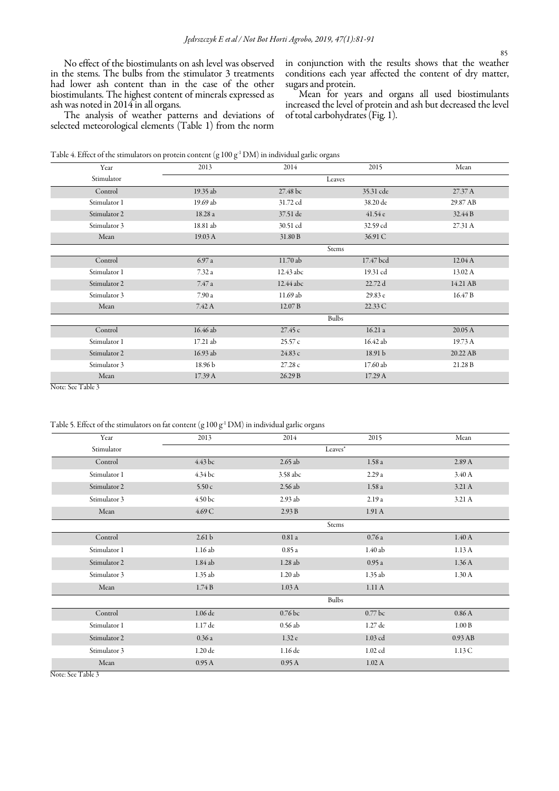No effect of the biostimulants on ash level was observed in the stems. The bulbs from the stimulator 3 treatments had lower ash content than in the case of the other biostimulants. The highest content of minerals expressed as ash was noted in 2014 in all organs.

The analysis of weather patterns and deviations of selected meteorological elements (Table 1) from the norm

in conjunction with the results shows that the weather conditions each year affected the content of dry matter, sugars and protein.

Mean for years and organs all used biostimulants increased the level of protein and ash but decreased the level of total carbohydrates (Fig. 1).

| Table 4. Effect of the stimulators on protein content ( $g 100 g-1 DM$ ) in individual garlic organs |  |
|------------------------------------------------------------------------------------------------------|--|
|------------------------------------------------------------------------------------------------------|--|

| Year         | 2013       | 2014      | 2015         | Mean     |  |
|--------------|------------|-----------|--------------|----------|--|
| Stimulator   | Leaves     |           |              |          |  |
| Control      | 19.35 ab   | 27.48 bc  | 35.31 cde    | 27.37 A  |  |
| Stimulator 1 | 19.69 ab   | 31.72 cd  | 38.20 de     | 29.87 AB |  |
| Stimulator 2 | 18.28 a    | 37.51 de  | 41.54 e      | 32.44 B  |  |
| Stimulator 3 | 18.81 ab   | 30.51 cd  | 32.59 cd     | 27.31 A  |  |
| Mean         | 19.03 A    | 31.80 B   | 36.91 C      |          |  |
|              | Stems      |           |              |          |  |
| Control      | 6.97a      | 11.70 ab  | 17.47 bcd    | 12.04 A  |  |
| Stimulator 1 | 7.32a      | 12.43 abc | 19.31 cd     | 13.02 A  |  |
| Stimulator 2 | 7.47a      | 12.44 abc | 22.72 d      | 14.21 AB |  |
| Stimulator 3 | 7.90a      | 11.69 ab  | 29.83 e      | 16.47 B  |  |
| Mean         | 7.42A      | 12.07 B   | 22.33 C      |          |  |
|              |            |           | <b>Bulbs</b> |          |  |
| Control      | 16.46 ab   | 27.45c    | 16.21a       | 20.05 A  |  |
| Stimulator 1 | $17.21$ ab | 25.57c    | 16.42 ab     | 19.73 A  |  |
| Stimulator 2 | $16.93$ ab | 24.83c    | 18.91 b      | 20.22 AB |  |
| Stimulator 3 | 18.96 b    | 27.28 c   | 17.60 ab     | 21.28 B  |  |
| Mean<br>T11  | 17.39 A    | 26.29 B   | 17.29 A      |          |  |

Note: See Table 3

Table 5. Effect of the stimulators on fat content  $(g 100 g<sup>-1</sup> DM)$  in individual garlic organs

| Year         | 2013               | 2014               | 2015         | Mean      |  |
|--------------|--------------------|--------------------|--------------|-----------|--|
| Stimulator   | Leaves*            |                    |              |           |  |
| Control      | 4.43 bc            | 2.65 ab            | 1.58a        | 2.89A     |  |
| Stimulator 1 | 4.34 bc            | 3.58 abc           | 2.29a        | 3.40 A    |  |
| Stimulator 2 | 5.50c              | 2.56 ab            | 1.58a        | 3.21A     |  |
| Stimulator 3 | 4.50 <sub>bc</sub> | 2.93 ab            | 2.19a        | 3.21 A    |  |
| Mean         | 4.69 C             | 2.93B              | 1.91A        |           |  |
|              | Stems              |                    |              |           |  |
| Control      | 2.61 <sub>b</sub>  | 0.81a              | 0.76a        | 1.40A     |  |
| Stimulator 1 | 1.16 ab            | 0.85a              | 1.40 ab      | 1.13A     |  |
| Stimulator 2 | 1.84 ab            | 1.28ab             | 0.95a        | 1.36A     |  |
| Stimulator 3 | 1.35 ab            | 1.20ab             | 1.35 ab      | 1.30A     |  |
| Mean         | 1.74B              | 1.03A              | 1.11A        |           |  |
|              |                    |                    | <b>Bulbs</b> |           |  |
| Control      | 1.06 de            | 0.76 <sub>bc</sub> | $0.77$ bc    | 0.86A     |  |
| Stimulator 1 | 1.17 de            | $0.56$ ab          | 1.27 de      | 1.00 B    |  |
| Stimulator 2 | 0.36a              | 1.32e              | 1.03 cd      | $0.93$ AB |  |
| Stimulator 3 | 1.20 <sub>de</sub> | 1.16 de            | 1.02 cd      | 1.13C     |  |
| Mean         | 0.95A              | 0.95A              | 1.02A        |           |  |

Note: See Table 3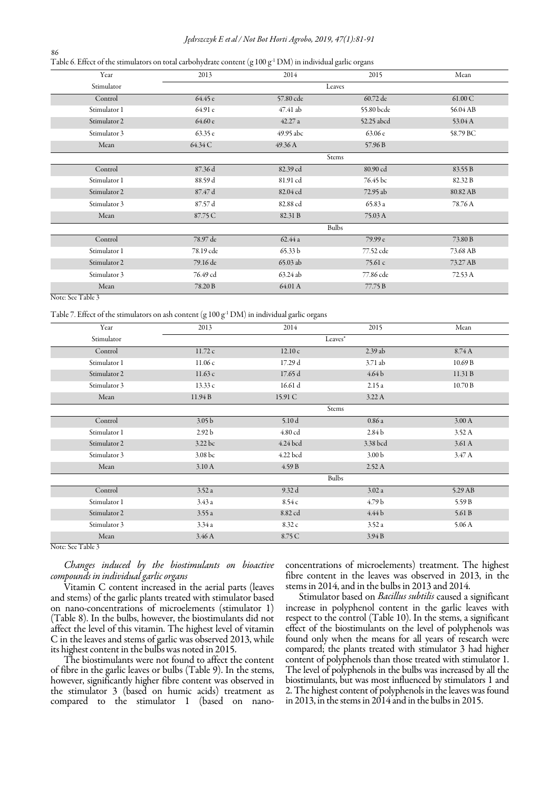#### Jędrszczyk E et al / Not Bot Horti Agrobo, 2019, 47(1):81-91

## Table 6. Effect of the stimulators on total carbohydrate content (g 100 g<sup>-1</sup> DM) in individual garlic organs

| Year                                                   | 2013      | 2014      | 2015         | Mean     |
|--------------------------------------------------------|-----------|-----------|--------------|----------|
| Stimulator                                             |           |           | Leaves       |          |
| Control                                                | 64.45 e   | 57.80 cde | 60.72 de     | 61.00 C  |
| Stimulator 1                                           | 64.91 e   | 47.41 ab  | 55.80 bcde   | 56.04 AB |
| Stimulator 2                                           | 64.60 e   | 42.27a    | 52.25 abcd   | 53.04 A  |
| Stimulator 3                                           | 63.35e    | 49.95 abc | 63.06e       | 58.79 BC |
| Mean                                                   | 64.34 C   | 49.36 A   | 57.96 B      |          |
|                                                        |           |           | Stems        |          |
| Control                                                | 87.36 d   | 82.39 cd  | 80.90 cd     | 83.55 B  |
| Stimulator 1                                           | 88.59 d   | 81.91 cd  | 76.45 bc     | 82.32 B  |
| Stimulator 2                                           | 87.47 d   | 82.04 cd  | 72.95 ab     | 80.82 AB |
| Stimulator 3                                           | 87.57 d   | 82.88 cd  | 65.83a       | 78.76 A  |
| Mean                                                   | 87.75 C   | 82.31 B   | 75.03 A      |          |
|                                                        |           |           | <b>Bulbs</b> |          |
| Control                                                | 78.97 de  | 62.44 a   | 79.99 e      | 73.80 B  |
| Stimulator 1                                           | 78.19 cde | 65.33 b   | 77.52 cde    | 73.68 AB |
| Stimulator 2                                           | 79.16 de  | 65.03 ab  | 75.61 c      | 73.27 AB |
| Stimulator 3                                           | 76.49 cd  | 63.24 ab  | 77.86 cde    | 72.53 A  |
| Mean                                                   | 78.20 B   | 64.01 A   | 77.75 B      |          |
| $N_{\alpha \tau \alpha}$ , $C_{\alpha \alpha}$ Table 2 |           |           |              |          |

Note: See Table 3

86

Table 7. Effect of the stimulators on ash content (g  $100 g<sup>-1</sup> DM$ ) in individual garlic organs

| Year         | 2013               | 2014              | 2015              | Mean    |  |
|--------------|--------------------|-------------------|-------------------|---------|--|
| Stimulator   | Leaves*            |                   |                   |         |  |
| Control      | 11.72c             | 12.10c            | 2.39ab            | 8.74 A  |  |
| Stimulator 1 | 11.06c             | 17.29 d           | 3.71 ab           | 10.69 B |  |
| Stimulator 2 | 11.63c             | 17.65 d           | 4.64 <sub>b</sub> | 11.31 B |  |
| Stimulator 3 | 13.33c             | 16.61 d           | 2.15a             | 10.70 B |  |
| Mean         | 11.94 <sub>B</sub> | 15.91 C           | 3.22A             |         |  |
|              | Stems              |                   |                   |         |  |
| Control      | 3.05 <sub>b</sub>  | 5.10 <sub>d</sub> | 0.86a             | 3.00A   |  |
| Stimulator 1 | 2.92 <sub>b</sub>  | 4.80 cd           | 2.84 <sub>b</sub> | 3.52A   |  |
| Stimulator 2 | 3.22 bc            | $4.24$ bcd        | 3.38 bcd          | 3.61A   |  |
| Stimulator 3 | 3.08 bc            | 4.22 bcd          | 3.00 <sub>b</sub> | 3.47 A  |  |
| Mean         | 3.10 A             | 4.59 B            | 2.52A             |         |  |
|              |                    |                   | <b>Bulbs</b>      |         |  |
| Control      | 3.52a              | 9.32 d            | 3.02a             | 5.29 AB |  |
| Stimulator 1 | 3.43a              | 8.54 c            | 4.79 b            | 5.59B   |  |
| Stimulator 2 | 3.55a              | 8.82 cd           | 4.44 b            | 5.61 B  |  |
| Stimulator 3 | 3.34 a             | 8.32c             | 3.52a             | 5.06A   |  |
| Mean         | 3.46A              | 8.75 C            | 3.94B             |         |  |

Note: See Table 3

Changes induced by the biostimulants on bioactive compounds in individual garlic organs

Vitamin C content increased in the aerial parts (leaves and stems) of the garlic plants treated with stimulator based on nano-concentrations of microelements (stimulator 1) (Table 8). In the bulbs, however, the biostimulants did not affect the level of this vitamin. The highest level of vitamin C in the leaves and stems of garlic was observed 2013, while its highest content in the bulbs was noted in 2015.

The biostimulants were not found to affect the content of fibre in the garlic leaves or bulbs (Table 9). In the stems, however, significantly higher fibre content was observed in the stimulator 3 (based on humic acids) treatment as compared to the stimulator 1 (based on nanoconcentrations of microelements) treatment. The highest fibre content in the leaves was observed in 2013, in the stems in 2014, and in the bulbs in 2013 and 2014.

Stimulator based on Bacillus subtilis caused a significant increase in polyphenol content in the garlic leaves with respect to the control (Table 10). In the stems, a significant effect of the biostimulants on the level of polyphenols was found only when the means for all years of research were compared; the plants treated with stimulator 3 had higher content of polyphenols than those treated with stimulator 1. The level of polyphenols in the bulbs was increased by all the biostimulants, but was most influenced by stimulators 1 and 2. The highest content of polyphenols in the leaves was found in 2013, in the stems in 2014 and in the bulbs in 2015.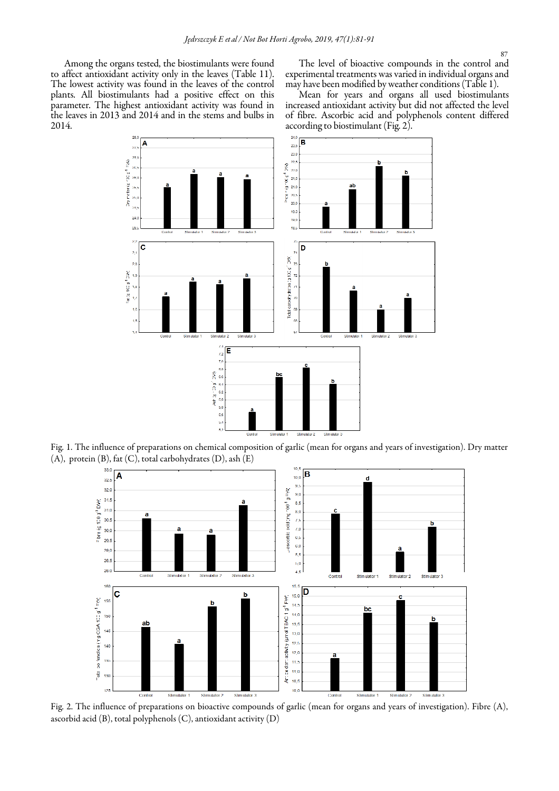Among the organs tested, the biostimulants were found to affect antioxidant activity only in the leaves (Table 11). The lowest activity was found in the leaves of the control plants. All biostimulants had a positive effect on this parameter. The highest antioxidant activity was found in the leaves in 2013 and 2014 and in the stems and bulbs in 2014.

The level of bioactive compounds in the control and experimental treatments was varied in individual organs and may have been modified by weather conditions (Table 1).

Mean for years and organs all used biostimulants increased antioxidant activity but did not affected the level of fibre. Ascorbic acid and polyphenols content differed according to biostimulant (Fig. 2).



Fig. 1. The influence of preparations on chemical composition of garlic (mean for organs and years of investigation). Dry matter (A), protein (B), fat (C), total carbohydrates (D), ash (E)



Fig. 2. The influence of preparations on bioactive compounds of garlic (mean for organs and years of investigation). Fibre (A), ascorbid acid (B), total polyphenols (C), antioxidant activity (D)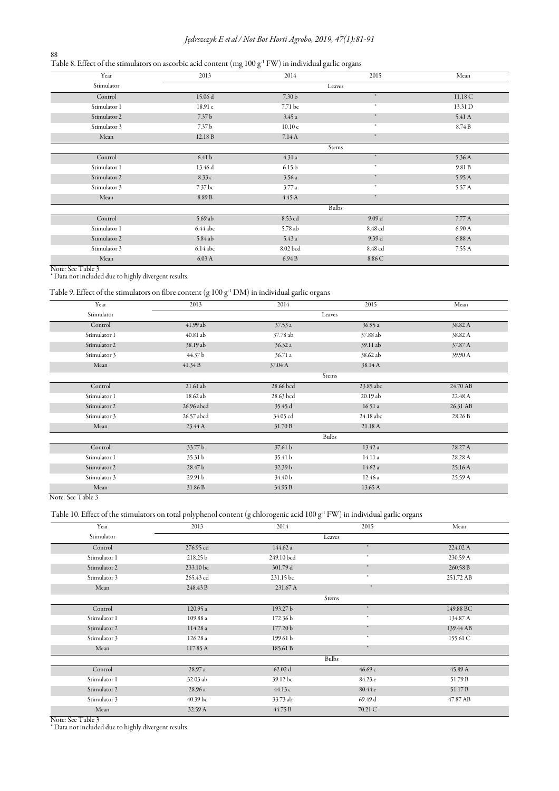# Jędrszczyk E et al / Not Bot Horti Agrobo, 2019, 47(1):81-91

#### 88 Table 8. Effect of the stimulators on ascorbic acid content (mg 100 g<sup>-1</sup> FW) in individual garlic organs

|              |                   | $\sim$            | $\sim$       |         |  |
|--------------|-------------------|-------------------|--------------|---------|--|
| Year         | 2013              | 2014              | 2015         | Mean    |  |
| Stimulator   |                   |                   | Leaves       |         |  |
| Control      | 15.06 d           | 7.30 <sub>b</sub> | $*$          | 11.18 C |  |
| Stimulator 1 | 18.91 e           | 7.71 bc           | *            | 13.31 D |  |
| Stimulator 2 | 7.37 <sub>b</sub> | 3.45a             | $*$          | 5.41 A  |  |
| Stimulator 3 | 7.37 b            | 10.10c            | ٠            | 8.74 B  |  |
| Mean         | 12.18 B           | 7.14A             | *            |         |  |
|              | Stems             |                   |              |         |  |
| Control      | 6.41 b            | 4.31 a            | $*$          | 5.36A   |  |
| Stimulator 1 | 13.46 d           | 6.15 <sub>b</sub> | *            | 9.81 B  |  |
| Stimulator 2 | 8.33c             | 3.56a             | *            | 5.95A   |  |
| Stimulator 3 | 7.37 bc           | 3.77a             | $\star$      | 5.57 A  |  |
| Mean         | 8.89 B            | 4.45A             | $\star$      |         |  |
|              |                   |                   | <b>Bulbs</b> |         |  |
| Control      | 5.69 ab           | 8.53 cd           | 9.09 d       | 7.77 A  |  |
| Stimulator 1 | 6.44 abc          | 5.78 ab           | 8.48 cd      | 6.90 A  |  |
| Stimulator 2 | 5.84 ab           | 5.43a             | 9.39 d       | 6.88 A  |  |
| Stimulator 3 | $6.14$ abc        | 8.02 bcd          | 8.48 cd      | 7.55 A  |  |
| Mean         | 6.03A             | 6.94B             | 8.86 C       |         |  |

Note: See Table 3

\* Data not included due to highly divergent results.

Table 9. Effect of the stimulators on fibre content (g  $100$  g<sup>-1</sup> DM) in individual garlic organs

| Year         | 2013       | 2014      | 2015         | Mean     |  |
|--------------|------------|-----------|--------------|----------|--|
| Stimulator   | Leaves     |           |              |          |  |
| Control      | 41.99 ab   | 37.53a    | 36.95 a      | 38.82 A  |  |
| Stimulator 1 | 40.81 ab   | 37.78 ab  | 37.88 ab     | 38.82 A  |  |
| Stimulator 2 | 38.19 ab   | 36.32 a   | 39.11 ab     | 37.87 A  |  |
| Stimulator 3 | 44.37 b    | 36.71 a   | 38.62 ab     | 39.90 A  |  |
| Mean         | 41.34 B    | 37.04 A   | 38.14A       |          |  |
|              | Stems      |           |              |          |  |
| Control      | 21.61 ab   | 28.66 bcd | 23.85 abc    | 24.70 AB |  |
| Stimulator 1 | 18.62 ab   | 28.63 bcd | 20.19 ab     | 22.48 A  |  |
| Stimulator 2 | 26.96 abcd | 35.45 d   | 16.51 a      | 26.31 AB |  |
| Stimulator 3 | 26.57 abcd | 34.05 cd  | 24.18 abc    | 28.26 B  |  |
| Mean         | 23.44 A    | 31.70 B   | 21.18 A      |          |  |
|              |            |           | <b>Bulbs</b> |          |  |
| Control      | 33.77 b    | 37.61 b   | 13.42 a      | 28.27 A  |  |
| Stimulator 1 | 35.31 b    | 35.41 b   | 14.11 a      | 28.28 A  |  |
| Stimulator 2 | 28.47 b    | 32.39 b   | 14.62 a      | 25.16 A  |  |
| Stimulator 3 | 29.91 b    | 34.40 b   | 12.46 a      | 25.59 A  |  |
| Mean         | 31.86 B    | 34.95 B   | 13.65 A      |          |  |

Note: See Table 3

# Table 10. Effect of the stimulators on total polyphenol content (g chlorogenic acid 100 g<sup>-1</sup> FW) in individual garlic organs

| Year         | 2013      | 2014       | 2015         | Mean      |
|--------------|-----------|------------|--------------|-----------|
| Stimulator   |           |            | Leaves       |           |
| Control      | 276.95 cd | 144.62 a   | $*$          | 224.02 A  |
| Stimulator 1 | 218.25 b  | 249.10 bcd | $\ast$       | 230.59 A  |
| Stimulator 2 | 233.10 bc | 301.79 d   | $*$          | 260.58 B  |
| Stimulator 3 | 265.43 cd | 231.15 bc  | $\ast$       | 251.72 AB |
| Mean         | 248.43 B  | 231.67 A   | ×            |           |
|              |           |            | Stems        |           |
| Control      | 120.95 a  | 193.27 b   | $*$          | 149.88 BC |
| Stimulator 1 | 109.88 a  | 172.36 b   | $\ast$       | 134.87 A  |
| Stimulator 2 | 114.28 a  | 177.20 b   | *            | 139.44 AB |
| Stimulator 3 | 126.28 a  | 199.61 b   | *            | 155.61 C  |
| Mean         | 117.85 A  | 185.61 B   | $\ast$       |           |
|              |           |            | <b>Bulbs</b> |           |
| Control      | 28.97 a   | 62.02 d    | 46.69c       | 45.89 A   |
| Stimulator 1 | 32.03 ab  | 39.12 bc   | 84.23 e      | 51.79 B   |
| Stimulator 2 | 28.96 a   | 44.13c     | 80.44 e      | 51.17 B   |
| Stimulator 3 | 40.39 bc  | 33.73 ab   | 69.49 d      | 47.87 AB  |
| Mean         | 32.59 A   | 44.75 B    | 70.21 C      |           |
|              |           |            |              |           |

Note: See Table 3

\* Data not included due to highly divergent results.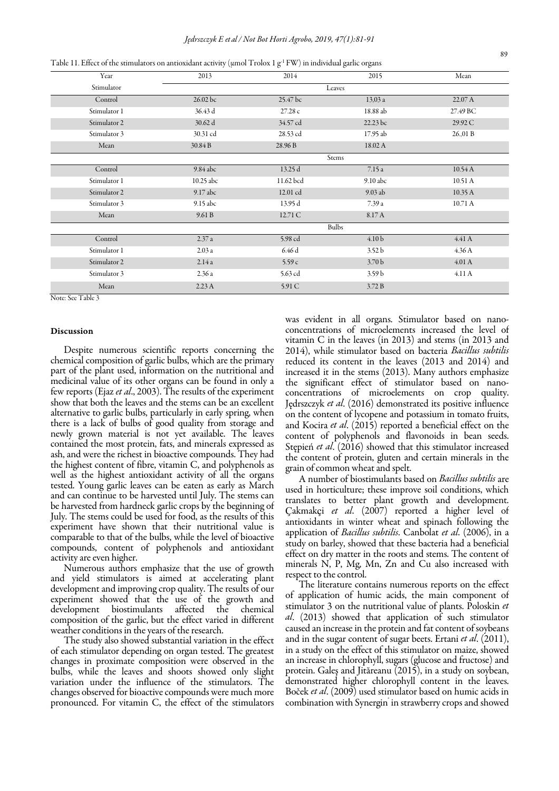Table 11. Effect of the stimulators on antioxidant activity ( $\mu$ mol Trolox 1 g<sup>-1</sup> FW) in individual garlic organs

| Year         | 2013               | 2014      | 2015              | Mean     |  |
|--------------|--------------------|-----------|-------------------|----------|--|
| Stimulator   |                    |           | Leaves            |          |  |
| Control      | 26.02 bc           | 25.47 bc  | 13,03a            | 22.07 A  |  |
| Stimulator 1 | 36.43 d            | 27.28 c   | 18.88 ab          | 27.49 BC |  |
| Stimulator 2 | 30.62 d            | 34.57 cd  | 22.23 bc          | 29.92 C  |  |
| Stimulator 3 | 30.31 cd           | 28.53 cd  | 17.95 ab          | 26.,01 B |  |
| Mean         | 30.84 <sub>B</sub> | 28.96 B   | 18.02 A           |          |  |
|              | Stems              |           |                   |          |  |
| Control      | 9.84 abc           | 13.25 d   | 7.15a             | 10.54A   |  |
| Stimulator 1 | 10.25 abc          | 11.62 bcd | $9.10$ abc        | 10.51A   |  |
| Stimulator 2 | $9.17$ abc         | 12.01 cd  | $9.03$ ab         | 10.35 A  |  |
| Stimulator 3 | 9.15 abc           | 13.95 d   | 7.39 a            | 10.71A   |  |
| Mean         | 9.61 B             | 12.71 C   | 8.17 A            |          |  |
|              |                    |           | <b>Bulbs</b>      |          |  |
| Control      | 2.37a              | 5.98 cd   | 4.10 <sub>b</sub> | 4.41 A   |  |
| Stimulator 1 | 2.03a              | 6.46 d    | 3.52 <sub>b</sub> | 4.36A    |  |
| Stimulator 2 | 2.14a              | 5.59c     | 3.70 <sub>b</sub> | 4.01 A   |  |
| Stimulator 3 | 2.36a              | 5.63 cd   | 3.59 <sub>b</sub> | 4.11 A   |  |
| Mean         | 2.23A              | 5.91 C    | 3.72 B            |          |  |

Note: See Table 3

#### Discussion

Despite numerous scientific reports concerning the chemical composition of garlic bulbs, which are the primary part of the plant used, information on the nutritional and medicinal value of its other organs can be found in only a few reports (Ejaz *et al.*, 2003). The results of the experiment show that both the leaves and the stems can be an excellent alternative to garlic bulbs, particularly in early spring, when there is a lack of bulbs of good quality from storage and newly grown material is not yet available. The leaves contained the most protein, fats, and minerals expressed as ash, and were the richest in bioactive compounds. They had the highest content of fibre, vitamin C, and polyphenols as well as the highest antioxidant activity of all the organs tested. Young garlic leaves can be eaten as early as March and can continue to be harvested until July. The stems can be harvested from hardneck garlic crops by the beginning of July. The stems could be used for food, as the results of this experiment have shown that their nutritional value is comparable to that of the bulbs, while the level of bioactive compounds, content of polyphenols and antioxidant activity are even higher.

Numerous authors emphasize that the use of growth and yield stimulators is aimed at accelerating plant development and improving crop quality. The results of our experiment showed that the use of the growth and development biostimulants affected the chemical composition of the garlic, but the effect varied in different weather conditions in the years of the research.

The study also showed substantial variation in the effect of each stimulator depending on organ tested. The greatest changes in proximate composition were observed in the bulbs, while the leaves and shoots showed only slight variation under the influence of the stimulators. The changes observed for bioactive compounds were much more pronounced. For vitamin C, the effect of the stimulators was evident in all organs. Stimulator based on nanoconcentrations of microelements increased the level of vitamin C in the leaves (in 2013) and stems (in 2013 and 2014), while stimulator based on bacteria Bacillus subtilis reduced its content in the leaves (2013 and 2014) and increased it in the stems (2013). Many authors emphasize the significant effect of stimulator based on nanoconcentrations of microelements on crop quality. Jędrszczyk et al. (2016) demonstrated its positive influence on the content of lycopene and potassium in tomato fruits, and Kocira et al. (2015) reported a beneficial effect on the content of polyphenols and flavonoids in bean seeds. Stępień et al. (2016) showed that this stimulator increased the content of protein, gluten and certain minerals in the grain of common wheat and spelt.

A number of biostimulants based on Bacillus subtilis are used in horticulture; these improve soil conditions, which translates to better plant growth and development. Çakmakçi et al. (2007) reported a higher level of antioxidants in winter wheat and spinach following the application of *Bacillus subtilis*. Canbolat et al. (2006), in a study on barley, showed that these bacteria had a beneficial effect on dry matter in the roots and stems. The content of minerals N, P, Mg, Mn, Zn and Cu also increased with respect to the control.

The literature contains numerous reports on the effect of application of humic acids, the main component of stimulator 3 on the nutritional value of plants. Poloskin et al. (2013) showed that application of such stimulator caused an increase in the protein and fat content of soybeans and in the sugar content of sugar beets. Ertani et al. (2011), in a study on the effect of this stimulator on maize, showed an increase in chlorophyll, sugars (glucose and fructose) and protein. Galeş and Jităreanu (2015), in a study on soybean, demonstrated higher chlorophyll content in the leaves. Boček et al. (2009) used stimulator based on humic acids in combination with Synergin in strawberry crops and showed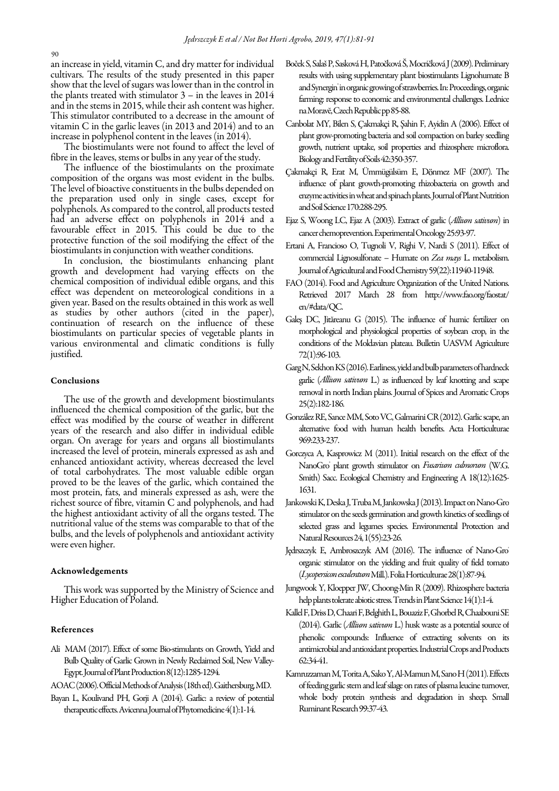an increase in yield, vitamin C, and dry matter for individual cultivars. The results of the study presented in this paper show that the level of sugars was lower than in the control in the plants treated with stimulator 3 – in the leaves in 2014 and in the stems in 2015, while their ash content was higher. This stimulator contributed to a decrease in the amount of vitamin C in the garlic leaves (in 2013 and 2014) and to an increase in polyphenol content in the leaves (in 2014).

The biostimulants were not found to affect the level of fibre in the leaves, stems or bulbs in any year of the study.

The influence of the biostimulants on the proximate composition of the organs was most evident in the bulbs. The level of bioactive constituents in the bulbs depended on the preparation used only in single cases, except for polyphenols. As compared to the control, all products tested had an adverse effect on polyphenols in 2014 and a favourable effect in 2015. This could be due to the protective function of the soil modifying the effect of the biostimulants in conjunction with weather conditions.

In conclusion, the biostimulants enhancing plant growth and development had varying effects on the chemical composition of individual edible organs, and this effect was dependent on meteorological conditions in a given year. Based on the results obtained in this work as well as studies by other authors (cited in the paper), continuation of research on the influence of these biostimulants on particular species of vegetable plants in various environmental and climatic conditions is fully justified.

## Conclusions

The use of the growth and development biostimulants influenced the chemical composition of the garlic, but the effect was modified by the course of weather in different years of the research and also differ in individual edible organ. On average for years and organs all biostimulants increased the level of protein, minerals expressed as ash and enhanced antioxidant activity, whereas decreased the level of total carbohydrates. The most valuable edible organ proved to be the leaves of the garlic, which contained the most protein, fats, and minerals expressed as ash, were the richest source of fibre, vitamin C and polyphenols, and had the highest antioxidant activity of all the organs tested. The nutritional value of the stems was comparable to that of the bulbs, and the levels of polyphenols and antioxidant activity were even higher.

#### Acknowledgements

This work was supported by the Ministry of Science and Higher Education of Poland.

#### References

- Ali MAM (2017). Effect of some Bio-stimulants on Growth, Yield and Bulb Quality of Garlic Grown in Newly Reclaimed Soil, New Valley-Egypt. Journal of Plant Production 8(12):1285-1294.
- AOAC (2006). Official Methods of Analysis (18th ed). Gaithersburg, MD.
- Bayan L, Koulivand PH, Gorji A (2014). Garlic: a review of potential therapeutic effects. Avicenna Journal of Phytomedicine 4(1):1-14.
- Boček S, Salaš P, Sasková H, Patočková Š, Mocričková J (2009). Preliminary results with using supplementary plant biostimulants Lignohumate B and Synergin<sup>\*</sup> in organic growing of strawberries. In: Proceedings, organic farming: response to economic and environmental challenges. Lednice na Moravĕ, Czech Republic pp 85-88.
- Canbolat MY, Bilen S, Çakmakçi R, Şahin F, Ayidin A (2006). Effect of plant grow-promoting bacteria and soil compaction on barley seedling growth, nutrient uptake, soil properties and rhizosphere microflora. Biology and Fertility of Soils 42:350-357.
- Ҫakmakҫi R, Erat M, Ümmügülsüm E, Dӧnmez MF (2007). The influence of plant growth-promoting rhizobacteria on growth and enzyme activities in wheat and spinach plants. Journal of Plant Nutrition and Soil Science 170:288-295.
- Ejaz S, Woong LC, Ejaz A (2003). Extract of garlic (Allium sativum) in cancer chemoprevention. Experimental Oncology 25:93-97.
- Ertani A, Francioso O, Tugnoli V, Righi V, Nardi S (2011). Effect of commercial Lignosulfonate – Humate on Zea mays L. metabolism. Journal of Agricultural and Food Chemistry 59(22):11940-11948.
- FAO (2014). Food and Agriculture Organization of the United Nations. Retrieved 2017 March 28 from http://www.fao.org/faostat/ en/#data/QC.
- Galeş DC, Jităreanu G (2015). The influence of humic fertilizer on morphological and physiological properties of soybean crop, in the conditions of the Moldavian plateau. Bulletin UASVM Agriculture 72(1):96-103.
- Garg N, Sekhon KS (2016). Earliness, yield and bulb parameters of hardneck garlic (*Allium sativum* L.) as influenced by leaf knotting and scape removal in north Indian plains. Journal of Spices and Aromatic Crops 25(2):182-186.
- González RE, Sance MM, Soto VC, Galmarini CR (2012). Garlic scape, an alternative food with human health benefits. Acta Horticulturae 969:233-237.
- Gorczyca A, Kasprowicz M (2011). Initial research on the effect of the NanoGro® plant growth stimulator on Fusarium culmorum (W.G. Smith) Sacc. Ecological Chemistry and Engineering A 18(12):1625- 1631.
- Jankowski K, Deska J, Truba M, Jankowska J (2013). Impact on Nano-Gro stimulator on the seeds germination and growth kinetics of seedlings of selected grass and legumes species. Environmental Protection and Natural Resources 24, 1(55):23-26.
- Jędrszczyk E, Ambroszczyk AM (2016). The influence of Nano-Gro organic stimulator on the yielding and fruit quality of field tomato (Lycopersicon esculentum Mill.). Folia Horticulturae 28(1):87-94.
- Jungwook Y, Kloepper JW, Choong-Min R (2009). Rhizosphere bacteria help plants tolerate abiotic stress. Trends in Plant Science 14(1):1-4.
- Kallel F, Driss D, Chaari F, Belghith L, Bouaziz F, Ghorbel R, Chaabouni SE (2014). Garlic (Allium sativum L.) husk waste as a potential source of phenolic compounds: Influence of extracting solvents on its antimicrobial and antioxidant properties. Industrial Crops and Products 62:34-41.
- Kamruzzaman M, Torita A, Sako Y, Al-Mamun M, Sano H (2011). Effects of feeding garlic stem and leaf silage on rates of plasma leucine turnover, whole body protein synthesis and degradation in sheep. Small Ruminant Research 99:37-43.